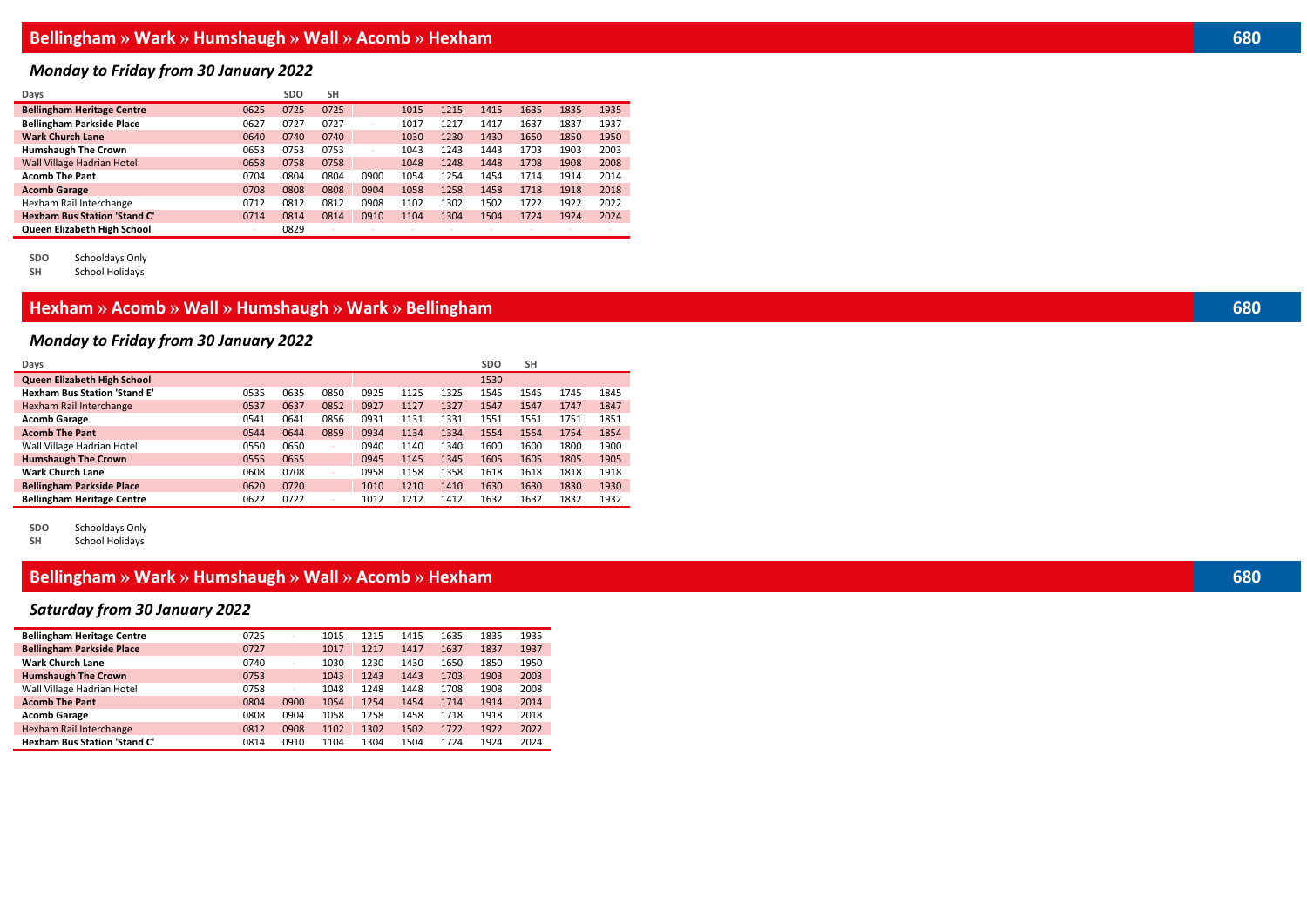### *Monday to Friday from 30 January 2022*

| Days                                |        | <b>SDO</b> | <b>SH</b> |      |      |      |      |      |      |      |
|-------------------------------------|--------|------------|-----------|------|------|------|------|------|------|------|
| <b>Bellingham Heritage Centre</b>   | 0625   | 0725       | 0725      |      | 1015 | 1215 | 1415 | 1635 | 1835 | 1935 |
| <b>Bellingham Parkside Place</b>    | 0627   | 0727       | 0727      |      | 1017 | 1217 | 1417 | 1637 | 1837 | 1937 |
| <b>Wark Church Lane</b>             | 0640   | 0740       | 0740      |      | 1030 | 1230 | 1430 | 1650 | 1850 | 1950 |
| <b>Humshaugh The Crown</b>          | 0653   | 0753       | 0753      |      | 1043 | 1243 | 1443 | 1703 | 1903 | 2003 |
| <b>Wall Village Hadrian Hotel</b>   | 0658   | 0758       | 0758      |      | 1048 | 1248 | 1448 | 1708 | 1908 | 2008 |
| <b>Acomb The Pant</b>               | 0704   | 0804       | 0804      | 0900 | 1054 | 1254 | 1454 | 1714 | 1914 | 2014 |
| <b>Acomb Garage</b>                 | 0708   | 0808       | 0808      | 0904 | 1058 | 1258 | 1458 | 1718 | 1918 | 2018 |
| Hexham Rail Interchange             | 0712   | 0812       | 0812      | 0908 | 1102 | 1302 | 1502 | 1722 | 1922 | 2022 |
| <b>Hexham Bus Station 'Stand C'</b> | 0714   | 0814       | 0814      | 0910 | 1104 | 1304 | 1504 | 1724 | 1924 | 2024 |
| Queen Elizabeth High School         | $\sim$ | 0829       |           |      |      |      |      |      |      |      |

**SDO** Schooldays Only

**School Holidays** 

## **Hexham » Acomb » Wall » Humshaugh » Wark » Bellingham 680**

### *Monday to Friday from 30 January 2022*

| Days                                |      |      |      |      |      |      | <b>SDO</b> | <b>SH</b> |      |      |
|-------------------------------------|------|------|------|------|------|------|------------|-----------|------|------|
| Queen Elizabeth High School         |      |      |      |      |      |      | 1530       |           |      |      |
| <b>Hexham Bus Station 'Stand E'</b> | 0535 | 0635 | 0850 | 0925 | 1125 | 1325 | 1545       | 1545      | 1745 | 1845 |
| Hexham Rail Interchange             | 0537 | 0637 | 0852 | 0927 | 1127 | 1327 | 1547       | 1547      | 1747 | 1847 |
| <b>Acomb Garage</b>                 | 0541 | 0641 | 0856 | 0931 | 1131 | 1331 | 1551       | 1551      | 1751 | 1851 |
| <b>Acomb The Pant</b>               | 0544 | 0644 | 0859 | 0934 | 1134 | 1334 | 1554       | 1554      | 1754 | 1854 |
| Wall Village Hadrian Hotel          | 0550 | 0650 |      | 0940 | 1140 | 1340 | 1600       | 1600      | 1800 | 1900 |
| <b>Humshaugh The Crown</b>          | 0555 | 0655 |      | 0945 | 1145 | 1345 | 1605       | 1605      | 1805 | 1905 |
| <b>Wark Church Lane</b>             | 0608 | 0708 |      | 0958 | 1158 | 1358 | 1618       | 1618      | 1818 | 1918 |
| <b>Bellingham Parkside Place</b>    | 0620 | 0720 |      | 1010 | 1210 | 1410 | 1630       | 1630      | 1830 | 1930 |
| <b>Bellingham Heritage Centre</b>   | 0622 | 0722 |      | 1012 | 1212 | 1412 | 1632       | 1632      | 1832 | 1932 |

**SDO** Schooldays Only

School Holidays

í.

### **Bellingham » Wark » Humshaugh » Wall » Acomb » Hexham 680**

### *Saturday from 30 January 2022*

| <b>Bellingham Heritage Centre</b>   | 0725 | $\sim$ | 1015 | 1215 | 1415 | 1635 | 1835 | 1935 |
|-------------------------------------|------|--------|------|------|------|------|------|------|
| <b>Bellingham Parkside Place</b>    | 0727 |        | 1017 | 1217 | 1417 | 1637 | 1837 | 1937 |
| <b>Wark Church Lane</b>             | 0740 | $\sim$ | 1030 | 1230 | 1430 | 1650 | 1850 | 1950 |
| <b>Humshaugh The Crown</b>          | 0753 |        | 1043 | 1243 | 1443 | 1703 | 1903 | 2003 |
| Wall Village Hadrian Hotel          | 0758 | $\sim$ | 1048 | 1248 | 1448 | 1708 | 1908 | 2008 |
| <b>Acomb The Pant</b>               | 0804 | 0900   | 1054 | 1254 | 1454 | 1714 | 1914 | 2014 |
| <b>Acomb Garage</b>                 | 0808 | 0904   | 1058 | 1258 | 1458 | 1718 | 1918 | 2018 |
| Hexham Rail Interchange             | 0812 | 0908   | 1102 | 1302 | 1502 | 1722 | 1922 | 2022 |
| <b>Hexham Bus Station 'Stand C'</b> | 0814 | 0910   | 1104 | 1304 | 1504 | 1724 | 1924 | 2024 |